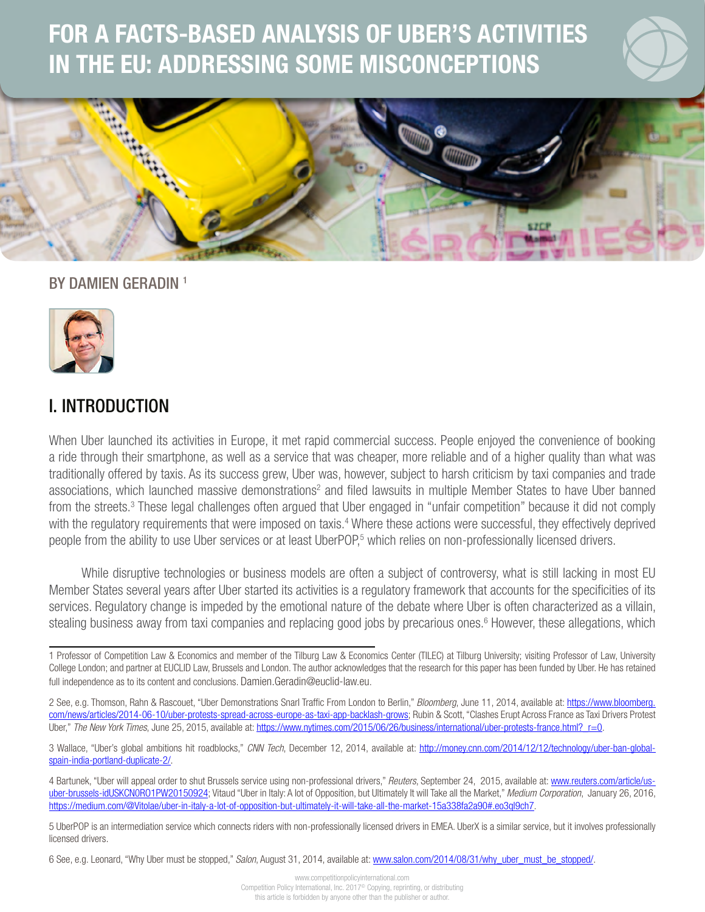# FOR A FACTS-BASED ANALYSIS OF UBER'S ACTIVITIES IN THE EU: ADDRESSING SOME MISCONCEPTIONS



1

### BY DAMIEN GERADIN<sup>1</sup>



## I. INTRODUCTION

When Uber launched its activities in Europe, it met rapid commercial success. People enjoyed the convenience of booking a ride through their smartphone, as well as a service that was cheaper, more reliable and of a higher quality than what was traditionally offered by taxis. As its success grew, Uber was, however, subject to harsh criticism by taxi companies and trade associations, which launched massive demonstrations<sup>2</sup> and filed lawsuits in multiple Member States to have Uber banned from the streets.<sup>3</sup> These legal challenges often argued that Uber engaged in "unfair competition" because it did not comply with the regulatory requirements that were imposed on taxis.<sup>4</sup> Where these actions were successful, they effectively deprived people from the ability to use Uber services or at least UberPOP,<sup>5</sup> which relies on non-professionally licensed drivers.

While disruptive technologies or business models are often a subject of controversy, what is still lacking in most EU Member States several years after Uber started its activities is a regulatory framework that accounts for the specificities of its services. Regulatory change is impeded by the emotional nature of the debate where Uber is often characterized as a villain, stealing business away from taxi companies and replacing good jobs by precarious ones.<sup>6</sup> However, these allegations, which

1 Professor of Competition Law & Economics and member of the Tilburg Law & Economics Center (TILEC) at Tilburg University; visiting Professor of Law, University College London; and partner at EUCLID Law, Brussels and London. The author acknowledges that the research for this paper has been funded by Uber. He has retained full independence as to its content and conclusions. [Damien.Geradin@euclid-law.eu.](mailto:Damien.Geradin@euclid-law.eu)

2 See, e.g. Thomson, Rahn & Rascouet, "Uber Demonstrations Snarl Traffic From London to Berlin," *Bloomberg*, June 11, 2014, available at: [https://www.bloomberg.](https://www.bloomberg.com/news/articles/2014-06-10/uber-protests-spread-across-europe-as-taxi-app-backlash-grows) [com/news/articles/2014-06-10/uber-protests-spread-across-europe-as-taxi-app-backlash-grows;](https://www.bloomberg.com/news/articles/2014-06-10/uber-protests-spread-across-europe-as-taxi-app-backlash-grows) Rubin & Scott, "Clashes Erupt Across France as Taxi Drivers Protest Uber," The New York Times, June 25, 2015, available at: https://www.nytimes.com/2015/06/26/business/international/uber-protests-france.html? r=0.

3 Wallace, "Uber's global ambitions hit roadblocks," *CNN Tech*, December 12, 2014, available at: [http://money.cnn.com/2014/12/12/technology/uber-ban-global](http://money.cnn.com/2014/12/12/technology/uber-ban-global-spain-india-portland-duplicate-2/)[spain-india-portland-duplicate-2/](http://money.cnn.com/2014/12/12/technology/uber-ban-global-spain-india-portland-duplicate-2/).

4 Bartunek, "Uber will appeal order to shut Brussels service using non-professional drivers," *Reuters*, September 24, 2015, available at: [www.reuters.com/article/us](http://www.reuters.com/article/us-uber-brussels-idUSKCN0RO1PW20150924)[uber-brussels-idUSKCN0RO1PW20150924;](http://www.reuters.com/article/us-uber-brussels-idUSKCN0RO1PW20150924) Vitaud "Uber in Italy: A lot of Opposition, but Ultimately It will Take all the Market," *Medium Corporation*, January 26, 2016, [https://medium.com/@Vitolae/uber-in-italy-a-lot-of-opposition-but-ultimately-it-will-take-all-the-market-15a338fa2a90#.eo3ql9ch7.](https://medium.com/@Vitolae/uber-in-italy-a-lot-of-opposition-but-ultimately-it-will-take-all-the-market-15a338fa2a90#.eo3ql9ch7)

5 UberPOP is an intermediation service which connects riders with non-professionally licensed drivers in EMEA. UberX is a similar service, but it involves professionally licensed drivers.

6 See, e.g. Leonard, "Why Uber must be stopped," *Salon*, August 31, 2014, available at: [www.salon.com/2014/08/31/why\\_uber\\_must\\_be\\_stopped/.](http://www.salon.com/2014/08/31/why_uber_must_be_stopped/)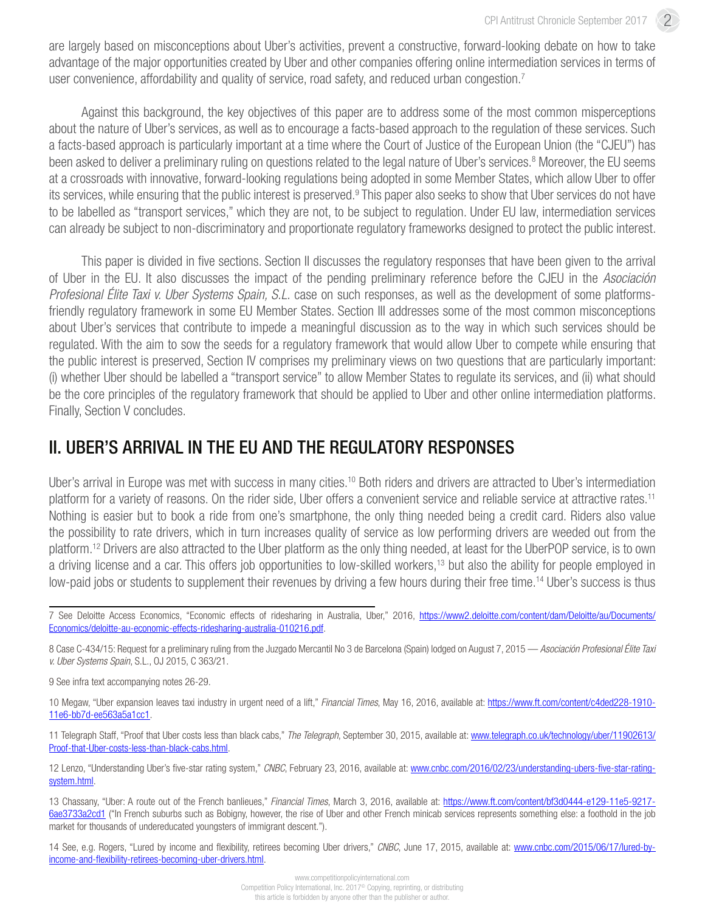are largely based on misconceptions about Uber's activities, prevent a constructive, forward-looking debate on how to take advantage of the major opportunities created by Uber and other companies offering online intermediation services in terms of user convenience, affordability and quality of service, road safety, and reduced urban congestion.<sup>7</sup>

Against this background, the key objectives of this paper are to address some of the most common misperceptions about the nature of Uber's services, as well as to encourage a facts-based approach to the regulation of these services. Such a facts-based approach is particularly important at a time where the Court of Justice of the European Union (the "CJEU") has been asked to deliver a preliminary ruling on questions related to the legal nature of Uber's services.<sup>8</sup> Moreover, the EU seems at a crossroads with innovative, forward-looking regulations being adopted in some Member States, which allow Uber to offer its services, while ensuring that the public interest is preserved.<sup>9</sup> This paper also seeks to show that Uber services do not have to be labelled as "transport services," which they are not, to be subject to regulation. Under EU law, intermediation services can already be subject to non-discriminatory and proportionate regulatory frameworks designed to protect the public interest.

This paper is divided in five sections. Section II discusses the regulatory responses that have been given to the arrival of Uber in the EU. It also discusses the impact of the pending preliminary reference before the CJEU in the *Asociación Profesional Élite Taxi v. Uber Systems Spain, S.L.* case on such responses, as well as the development of some platformsfriendly regulatory framework in some EU Member States. Section III addresses some of the most common misconceptions about Uber's services that contribute to impede a meaningful discussion as to the way in which such services should be regulated. With the aim to sow the seeds for a regulatory framework that would allow Uber to compete while ensuring that the public interest is preserved, Section IV comprises my preliminary views on two questions that are particularly important: (i) whether Uber should be labelled a "transport service" to allow Member States to regulate its services, and (ii) what should be the core principles of the regulatory framework that should be applied to Uber and other online intermediation platforms. Finally, Section V concludes.

### II. UBER'S ARRIVAL IN THE EU AND THE REGULATORY RESPONSES

Uber's arrival in Europe was met with success in many cities.<sup>10</sup> Both riders and drivers are attracted to Uber's intermediation platform for a variety of reasons. On the rider side, Uber offers a convenient service and reliable service at attractive rates.11 Nothing is easier but to book a ride from one's smartphone, the only thing needed being a credit card. Riders also value the possibility to rate drivers, which in turn increases quality of service as low performing drivers are weeded out from the platform.12 Drivers are also attracted to the Uber platform as the only thing needed, at least for the UberPOP service, is to own a driving license and a car. This offers job opportunities to low-skilled workers,<sup>13</sup> but also the ability for people employed in low-paid jobs or students to supplement their revenues by driving a few hours during their free time.<sup>14</sup> Uber's success is thus

7 See Deloitte Access Economics, "Economic effects of ridesharing in Australia, Uber," 2016, https://www2.deloitte.com/content/dam/Deloitte/au/Documents/ Economics/deloitte-au-economic-effects-ridesharing-australia-010216.pdf.

8 Case C-434/15: Request for a preliminary ruling from the Juzgado Mercantil No 3 de Barcelona (Spain) lodged on August 7, 2015 — *Asociación Profesional Élite Taxi v. Uber Systems Spain*, S.L., OJ 2015, C 363/21.

9 See infra text accompanying notes 26-29.

10 Megaw, "Uber expansion leaves taxi industry in urgent need of a lift," *Financial Times*, May 16, 2016, available at: https://www.ft.com/content/c4ded228-1910- 11e6-bb7d-ee563a5a1cc1.

11 Telegraph Staff, "Proof that Uber costs less than black cabs," *The Telegraph*, September 30, 2015, available at: [www.telegraph.co.uk/technology/uber/11902613/](http://www.telegraph.co.uk/technology/uber/11902613/Proof-that-Uber-costs-less-than-black-cabs.html) [Proof-that-Uber-costs-less-than-black-cabs.html.](http://www.telegraph.co.uk/technology/uber/11902613/Proof-that-Uber-costs-less-than-black-cabs.html)

12 Lenzo, "Understanding Uber's five-star rating system," *CNBC*, February 23, 2016, available at: [www.cnbc.com/2016/02/23/understanding-ubers-five-star-rating](http://www.cnbc.com/2016/02/23/understanding-ubers-five-star-rating-system.html)[system.html](http://www.cnbc.com/2016/02/23/understanding-ubers-five-star-rating-system.html).

13 Chassany, "Uber: A route out of the French banlieues," *Financial Times*, March 3, 2016, available at: [https://www.ft.com/content/bf3d0444-e129-11e5-9217-](https://www.ft.com/content/bf3d0444-e129-11e5-9217-6ae3733a2cd1) [6ae3733a2cd1](https://www.ft.com/content/bf3d0444-e129-11e5-9217-6ae3733a2cd1) ("In French suburbs such as Bobigny, however, the rise of Uber and other French minicab services represents something else: a foothold in the job market for thousands of undereducated youngsters of immigrant descent.").

14 See, e.g. Rogers, "Lured by income and flexibility, retirees becoming Uber drivers," *CNBC*, June 17, 2015, available at: [www.cnbc.com/2015/06/17/lured-by](http://www.cnbc.com/2015/06/17/lured-by-income-and-flexibility-retirees-becoming-uber-drivers.html)[income-and-flexibility-retirees-becoming-uber-drivers.html](http://www.cnbc.com/2015/06/17/lured-by-income-and-flexibility-retirees-becoming-uber-drivers.html).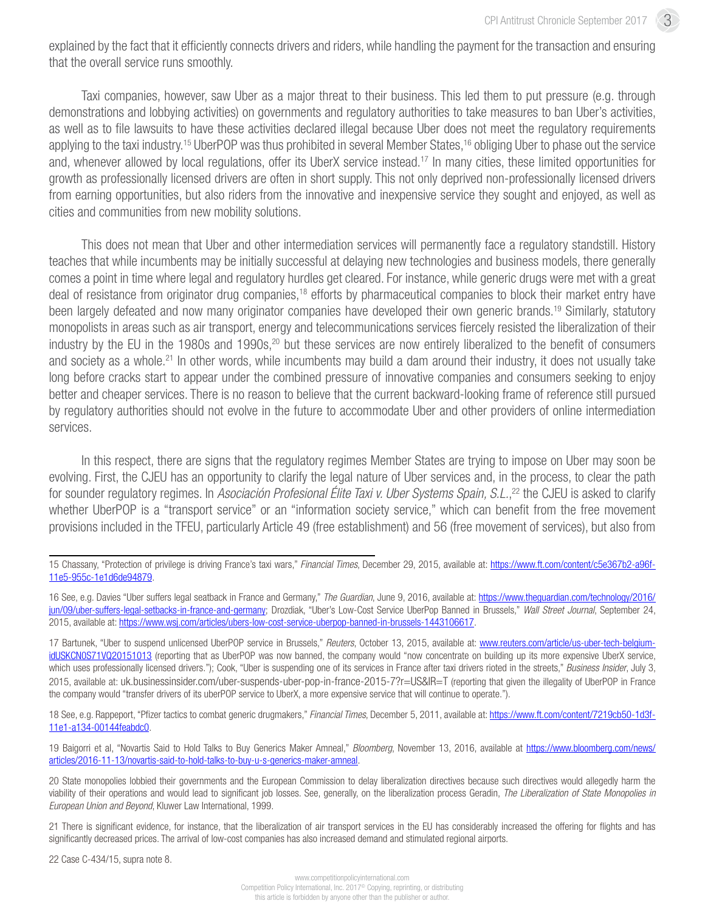explained by the fact that it efficiently connects drivers and riders, while handling the payment for the transaction and ensuring that the overall service runs smoothly.

Taxi companies, however, saw Uber as a major threat to their business. This led them to put pressure (e.g. through demonstrations and lobbying activities) on governments and regulatory authorities to take measures to ban Uber's activities, as well as to file lawsuits to have these activities declared illegal because Uber does not meet the regulatory requirements applying to the taxi industry.<sup>15</sup> UberPOP was thus prohibited in several Member States,<sup>16</sup> obliging Uber to phase out the service and, whenever allowed by local regulations, offer its UberX service instead.17 In many cities, these limited opportunities for growth as professionally licensed drivers are often in short supply. This not only deprived non-professionally licensed drivers from earning opportunities, but also riders from the innovative and inexpensive service they sought and enjoyed, as well as cities and communities from new mobility solutions.

This does not mean that Uber and other intermediation services will permanently face a regulatory standstill. History teaches that while incumbents may be initially successful at delaying new technologies and business models, there generally comes a point in time where legal and regulatory hurdles get cleared. For instance, while generic drugs were met with a great deal of resistance from originator drug companies,<sup>18</sup> efforts by pharmaceutical companies to block their market entry have been largely defeated and now many originator companies have developed their own generic brands.<sup>19</sup> Similarly, statutory monopolists in areas such as air transport, energy and telecommunications services fiercely resisted the liberalization of their industry by the EU in the 1980s and 1990s,<sup>20</sup> but these services are now entirely liberalized to the benefit of consumers and society as a whole.<sup>21</sup> In other words, while incumbents may build a dam around their industry, it does not usually take long before cracks start to appear under the combined pressure of innovative companies and consumers seeking to enjoy better and cheaper services. There is no reason to believe that the current backward-looking frame of reference still pursued by regulatory authorities should not evolve in the future to accommodate Uber and other providers of online intermediation services.

In this respect, there are signs that the regulatory regimes Member States are trying to impose on Uber may soon be evolving. First, the CJEU has an opportunity to clarify the legal nature of Uber services and, in the process, to clear the path for sounder regulatory regimes. In *Asociación Profesional Élite Taxi v. Uber Systems Spain, S.L.*, 22 the CJEU is asked to clarify whether UberPOP is a "transport service" or an "information society service," which can benefit from the free movement provisions included in the TFEU, particularly Article 49 (free establishment) and 56 (free movement of services), but also from

18 See, e.g. Rappeport, "Pfizer tactics to combat generic drugmakers," *Financial Times*, December 5, 2011, available at: [https://www.ft.com/content/7219cb50-1d3f-](https://www.ft.com/content/7219cb50-1d3f-11e1-a134-00144feabdc0)[11e1-a134-00144feabdc0.](https://www.ft.com/content/7219cb50-1d3f-11e1-a134-00144feabdc0)

19 Baigorri et al, "Novartis Said to Hold Talks to Buy Generics Maker Amneal," *Bloomberg*, November 13, 2016, available at [https://www.bloomberg.com/news/](https://www.bloomberg.com/news/articles/2016-11-13/novartis-said-to-hold-talks-to-buy-u-s-generics-maker-amneal) [articles/2016-11-13/novartis-said-to-hold-talks-to-buy-u-s-generics-maker-amneal.](https://www.bloomberg.com/news/articles/2016-11-13/novartis-said-to-hold-talks-to-buy-u-s-generics-maker-amneal)

20 State monopolies lobbied their governments and the European Commission to delay liberalization directives because such directives would allegedly harm the viability of their operations and would lead to significant job losses. See, generally, on the liberalization process Geradin, *The Liberalization of State Monopolies in European Union and Beyond*, Kluwer Law International, 1999.

21 There is significant evidence, for instance, that the liberalization of air transport services in the EU has considerably increased the offering for flights and has significantly decreased prices. The arrival of low-cost companies has also increased demand and stimulated regional airports.

22 Case C-434/15, supra note 8.

<sup>15</sup> Chassany, "Protection of privilege is driving France's taxi wars," *Financial Times*, December 29, 2015, available at: [https://www.ft.com/content/c5e367b2-a96f-](https://www.ft.com/content/c5e367b2-a96f-11e5-955c-1e1d6de94879)[11e5-955c-1e1d6de94879](https://www.ft.com/content/c5e367b2-a96f-11e5-955c-1e1d6de94879).

<sup>16</sup> See, e.g. Davies "Uber suffers legal seatback in France and Germany," *The Guardian*, June 9, 2016, available at: [https://www.theguardian.com/technology/2016/](https://www.theguardian.com/technology/2016/jun/09/uber-suffers-legal-setbacks-in-france-and-germany) [jun/09/uber-suffers-legal-setbacks-in-france-and-germany;](https://www.theguardian.com/technology/2016/jun/09/uber-suffers-legal-setbacks-in-france-and-germany) Drozdiak, "Uber's Low-Cost Service UberPop Banned in Brussels," *Wall Street Journal*, September 24, 2015, available at: [https://www.wsj.com/articles/ubers-low-cost-service-uberpop-banned-in-brussels-1443106617.](https://www.wsj.com/articles/ubers-low-cost-service-uberpop-banned-in-brussels-1443106617)

<sup>17</sup> Bartunek, "Uber to suspend unlicensed UberPOP service in Brussels," *Reuters*, October 13, 2015, available at: [www.reuters.com/article/us-uber-tech-belgium](http://www.reuters.com/article/us-uber-tech-belgium-idUSKCN0S71VQ20151013)[idUSKCN0S71VQ20151013](http://www.reuters.com/article/us-uber-tech-belgium-idUSKCN0S71VQ20151013) (reporting that as UberPOP was now banned, the company would "now concentrate on building up its more expensive UberX service, which uses professionally licensed drivers."); Cook, "Uber is suspending one of its services in France after taxi drivers rioted in the streets," *Business Insider*, July 3, 2015, available at: [uk.businessinsider.com/uber-suspends-uber-pop-in-france-2015-7?r=US&IR=T](http://uk.businessinsider.com/uber-suspends-uber-pop-in-france-2015-7?r=US&IR=T) (reporting that given the illegality of UberPOP in France the company would "transfer drivers of its uberPOP service to UberX, a more expensive service that will continue to operate.").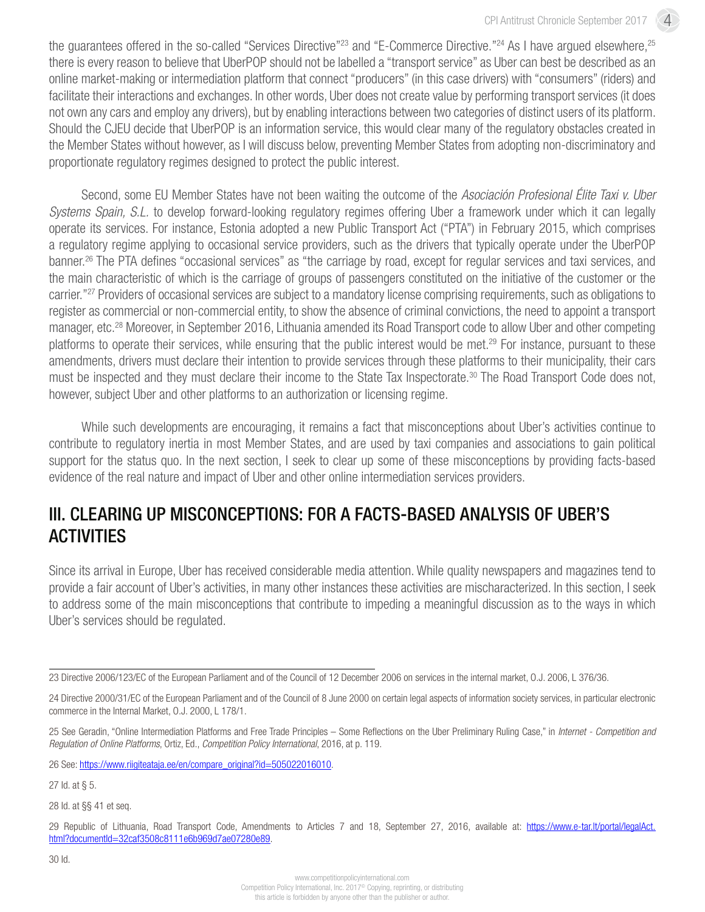4

the quarantees offered in the so-called "Services Directive"<sup>23</sup> and "E-Commerce Directive."<sup>24</sup> As I have arqued elsewhere,<sup>25</sup> there is every reason to believe that UberPOP should not be labelled a "transport service" as Uber can best be described as an online market-making or intermediation platform that connect "producers" (in this case drivers) with "consumers" (riders) and facilitate their interactions and exchanges. In other words, Uber does not create value by performing transport services (it does not own any cars and employ any drivers), but by enabling interactions between two categories of distinct users of its platform. Should the CJEU decide that UberPOP is an information service, this would clear many of the regulatory obstacles created in the Member States without however, as I will discuss below, preventing Member States from adopting non-discriminatory and proportionate regulatory regimes designed to protect the public interest.

Second, some EU Member States have not been waiting the outcome of the *Asociación Profesional Élite Taxi v. Uber Systems Spain, S.L.* to develop forward-looking regulatory regimes offering Uber a framework under which it can legally operate its services. For instance, Estonia adopted a new Public Transport Act ("PTA") in February 2015, which comprises a regulatory regime applying to occasional service providers, such as the drivers that typically operate under the UberPOP banner.<sup>26</sup> The PTA defines "occasional services" as "the carriage by road, except for regular services and taxi services, and the main characteristic of which is the carriage of groups of passengers constituted on the initiative of the customer or the carrier."27 Providers of occasional services are subject to a mandatory license comprising requirements, such as obligations to register as commercial or non-commercial entity, to show the absence of criminal convictions, the need to appoint a transport manager, etc.28 Moreover, in September 2016, Lithuania amended its Road Transport code to allow Uber and other competing platforms to operate their services, while ensuring that the public interest would be met.<sup>29</sup> For instance, pursuant to these amendments, drivers must declare their intention to provide services through these platforms to their municipality, their cars must be inspected and they must declare their income to the State Tax Inspectorate.<sup>30</sup> The Road Transport Code does not, however, subject Uber and other platforms to an authorization or licensing regime.

While such developments are encouraging, it remains a fact that misconceptions about Uber's activities continue to contribute to regulatory inertia in most Member States, and are used by taxi companies and associations to gain political support for the status quo. In the next section, I seek to clear up some of these misconceptions by providing facts-based evidence of the real nature and impact of Uber and other online intermediation services providers.

## III. CLEARING UP MISCONCEPTIONS: FOR A FACTS-BASED ANALYSIS OF UBER'S **ACTIVITIES**

Since its arrival in Europe, Uber has received considerable media attention. While quality newspapers and magazines tend to provide a fair account of Uber's activities, in many other instances these activities are mischaracterized. In this section, I seek to address some of the main misconceptions that contribute to impeding a meaningful discussion as to the ways in which Uber's services should be regulated.

<sup>23</sup> Directive 2006/123/EC of the European Parliament and of the Council of 12 December 2006 on services in the internal market, O.J. 2006, L 376/36.

<sup>24</sup> Directive 2000/31/EC of the European Parliament and of the Council of 8 June 2000 on certain legal aspects of information society services, in particular electronic commerce in the Internal Market, O.J. 2000, L 178/1.

<sup>25</sup> See Geradin, "Online Intermediation Platforms and Free Trade Principles – Some Reflections on the Uber Preliminary Ruling Case," in *Internet - Competition and Regulation of Online Platforms*, Ortiz, Ed., *Competition Policy International*, 2016, at p. 119.

<sup>26</sup> See: [https://www.riigiteataja.ee/en/compare\\_original?id=505022016010.](https://www.riigiteataja.ee/en/compare_original?id=505022016010)

<sup>27</sup> Id. at § 5.

<sup>28</sup> Id. at §§ 41 et seq.

<sup>29</sup> Republic of Lithuania, Road Transport Code, Amendments to Articles 7 and 18, September 27, 2016, available at: [https://www.e-tar.lt/portal/legalAct.](https://www.e-tar.lt/portal/legalAct.html?documentId=32caf3508c8111e6b969d7ae07280e89) [html?documentId=32caf3508c8111e6b969d7ae07280e89.](https://www.e-tar.lt/portal/legalAct.html?documentId=32caf3508c8111e6b969d7ae07280e89)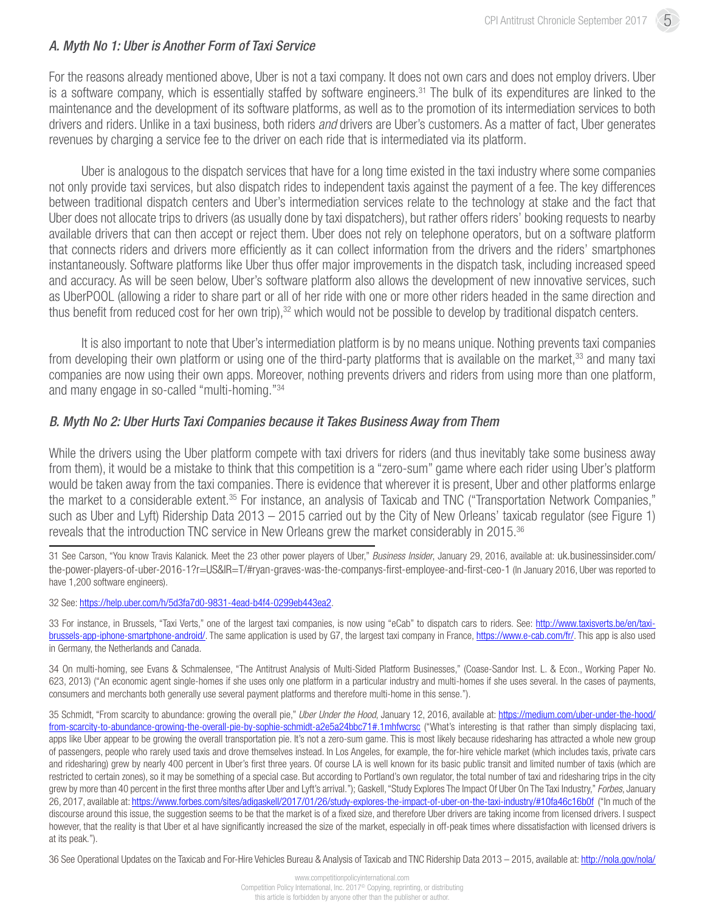### *A. Myth No 1: Uber is Another Form of Taxi Service*

For the reasons already mentioned above, Uber is not a taxi company. It does not own cars and does not employ drivers. Uber is a software company, which is essentially staffed by software engineers.<sup>31</sup> The bulk of its expenditures are linked to the maintenance and the development of its software platforms, as well as to the promotion of its intermediation services to both drivers and riders. Unlike in a taxi business, both riders *and* drivers are Uber's customers. As a matter of fact, Uber generates revenues by charging a service fee to the driver on each ride that is intermediated via its platform.

Uber is analogous to the dispatch services that have for a long time existed in the taxi industry where some companies not only provide taxi services, but also dispatch rides to independent taxis against the payment of a fee. The key differences between traditional dispatch centers and Uber's intermediation services relate to the technology at stake and the fact that Uber does not allocate trips to drivers (as usually done by taxi dispatchers), but rather offers riders' booking requests to nearby available drivers that can then accept or reject them. Uber does not rely on telephone operators, but on a software platform that connects riders and drivers more efficiently as it can collect information from the drivers and the riders' smartphones instantaneously. Software platforms like Uber thus offer major improvements in the dispatch task, including increased speed and accuracy. As will be seen below, Uber's software platform also allows the development of new innovative services, such as UberPOOL (allowing a rider to share part or all of her ride with one or more other riders headed in the same direction and thus benefit from reduced cost for her own trip),<sup>32</sup> which would not be possible to develop by traditional dispatch centers.

It is also important to note that Uber's intermediation platform is by no means unique. Nothing prevents taxi companies from developing their own platform or using one of the third-party platforms that is available on the market,<sup>33</sup> and many taxi companies are now using their own apps. Moreover, nothing prevents drivers and riders from using more than one platform, and many engage in so-called "multi-homing."34

### *B. Myth No 2: Uber Hurts Taxi Companies because it Takes Business Away from Them*

While the drivers using the Uber platform compete with taxi drivers for riders (and thus inevitably take some business away from them), it would be a mistake to think that this competition is a "zero-sum" game where each rider using Uber's platform would be taken away from the taxi companies. There is evidence that wherever it is present, Uber and other platforms enlarge the market to a considerable extent.35 For instance, an analysis of Taxicab and TNC ("Transportation Network Companies," such as Uber and Lyft) Ridership Data 2013 – 2015 carried out by the City of New Orleans' taxicab regulator (see Figure 1) reveals that the introduction TNC service in New Orleans grew the market considerably in 2015.<sup>36</sup>

31 See Carson, "You know Travis Kalanick. Meet the 23 other power players of Uber," *Business Insider*, January 29, 2016, available at: [uk.businessinsider.com/](http://uk.businessinsider.com/the-power-players-of-uber-2016-1?r=US&IR=T/#ryan-graves-was-the-companys-first-employee-and-first-ceo-1) [the-power-players-of-uber-2016-1?r=US&IR=T/#ryan-graves-was-the-companys-first-employee-and-first-ceo-1](http://uk.businessinsider.com/the-power-players-of-uber-2016-1?r=US&IR=T/#ryan-graves-was-the-companys-first-employee-and-first-ceo-1) (In January 2016, Uber was reported to have 1,200 software engineers).

32 See: [https://help.uber.com/h/5d3fa7d0-9831-4ead-b4f4-0299eb443ea2.](https://help.uber.com/h/5d3fa7d0-9831-4ead-b4f4-0299eb443ea2)

33 For instance, in Brussels, "Taxi Verts," one of the largest taxi companies, is now using "eCab" to dispatch cars to riders. See: [http://www.taxisverts.be/en/taxi](http://www.taxisverts.be/en/taxi-brussels-app-iphone-smartphone-android/)[brussels-app-iphone-smartphone-android/](http://www.taxisverts.be/en/taxi-brussels-app-iphone-smartphone-android/). The same application is used by G7, the largest taxi company in France, <https://www.e-cab.com/fr/>. This app is also used in Germany, the Netherlands and Canada.

34 On multi-homing, see Evans & Schmalensee, "The Antitrust Analysis of Multi-Sided Platform Businesses," (Coase-Sandor Inst. L. & Econ., Working Paper No. 623, 2013) ("An economic agent single-homes if she uses only one platform in a particular industry and multi-homes if she uses several. In the cases of payments, consumers and merchants both generally use several payment platforms and therefore multi-home in this sense.").

35 Schmidt, "From scarcity to abundance: growing the overall pie," *Uber Under the Hood*, January 12, 2016, available at: [https://medium.com/uber-under-the-hood/](https://medium.com/uber-under-the-hood/from-scarcity-to-abundance-growing-the-overall-pie-by-sophie-schmidt-a2e5a24bbc71#.1mhfwcrsc) [from-scarcity-to-abundance-growing-the-overall-pie-by-sophie-schmidt-a2e5a24bbc71#.1mhfwcrsc](https://medium.com/uber-under-the-hood/from-scarcity-to-abundance-growing-the-overall-pie-by-sophie-schmidt-a2e5a24bbc71#.1mhfwcrsc) ("What's interesting is that rather than simply displacing taxi, apps like Uber appear to be growing the overall transportation pie. It's not a zero-sum game. This is most likely because ridesharing has attracted a whole new group of passengers, people who rarely used taxis and drove themselves instead. In Los Angeles, for example, the for-hire vehicle market (which includes taxis, private cars and ridesharing) grew by nearly 400 percent in Uber's first three years. Of course LA is well known for its basic public transit and limited number of taxis (which are restricted to certain zones), so it may be something of a special case. But according to Portland's own regulator, the total number of taxi and ridesharing trips in the city grew by more than 40 percent in the first three months after Uber and Lyft's arrival."); Gaskell, "Study Explores The Impact Of Uber On The Taxi Industry," *Forbes*, January 26, 2017, available at:<https://www.forbes.com/sites/adigaskell/2017/01/26/study-explores-the-impact-of-uber-on-the-taxi-industry/#10fa46c16b0f>("In much of the discourse around this issue, the suggestion seems to be that the market is of a fixed size, and therefore Uber drivers are taking income from licensed drivers. I suspect however, that the reality is that Uber et al have significantly increased the size of the market, especially in off-peak times where dissatisfaction with licensed drivers is at its peak.").

36 See Operational Updates on the Taxicab and For-Hire Vehicles Bureau & Analysis of Taxicab and TNC Ridership Data 2013 – 2015, available at: [http://nola.gov/nola/](http://nola.gov/nola/media/One-Stop-Shop/Taxi/Taxi-Bureau-Update-to-Council-Transportation-Committee-(Feb-22,-2016).pdf?utm_content=&utm_medium=email&utm_name=&utm_source=govdelivery&utm_term)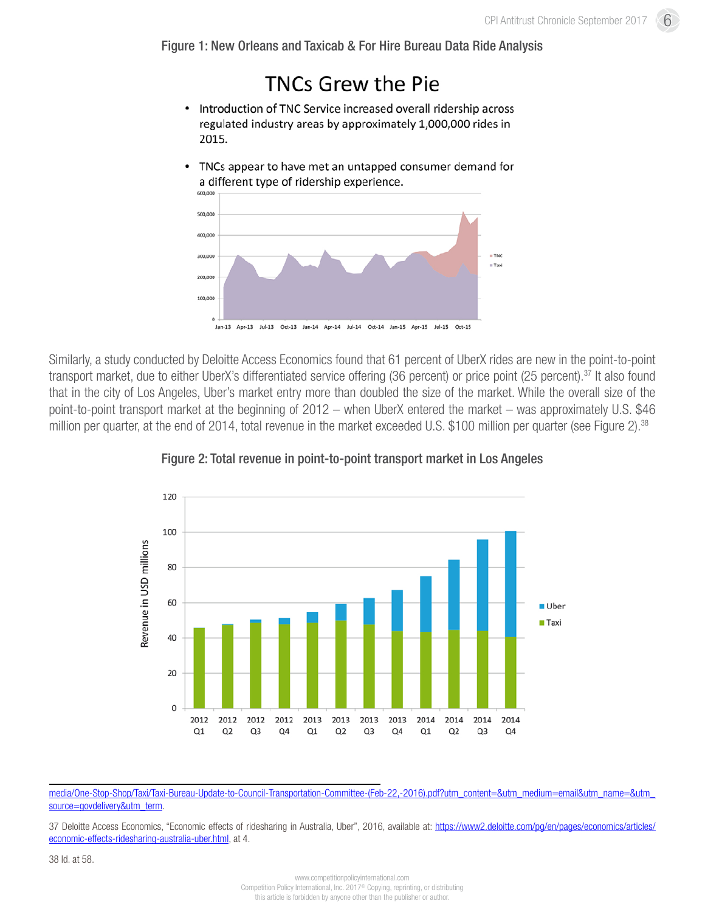6

Figure 1: New Orleans and Taxicab & For Hire Bureau Data Ride Analysis

## **TNCs Grew the Pie**

- Introduction of TNC Service increased overall ridership across  $\bullet$ regulated industry areas by approximately 1,000,000 rides in 2015.
- TNCs appear to have met an untapped consumer demand for  $\bullet$ a different type of ridership experience.



Similarly, a study conducted by Deloitte Access Economics found that 61 percent of UberX rides are new in the point-to-point transport market, due to either UberX's differentiated service offering (36 percent) or price point (25 percent).<sup>37</sup> It also found that in the city of Los Angeles, Uber's market entry more than doubled the size of the market. While the overall size of the point-to-point transport market at the beginning of 2012 – when UberX entered the market – was approximately U.S. \$46 million per quarter, at the end of 2014, total revenue in the market exceeded U.S. \$100 million per quarter (see Figure 2).<sup>38</sup>



Figure 2: Total revenue in point-to-point transport market in Los Angeles

media/One-Stop-Shop/Taxi/Taxi-Bureau-Update-to-Council-Transportation-Committee-(Feb-22,-2016).pdf?utm\_content=&utm\_medium=email&utm\_name=&utm [source=govdelivery&utm\\_term](http://nola.gov/nola/media/One-Stop-Shop/Taxi/Taxi-Bureau-Update-to-Council-Transportation-Committee-(Feb-22,-2016).pdf?utm_content=&utm_medium=email&utm_name=&utm_source=govdelivery&utm_term).

37 Deloitte Access Economics, "Economic effects of ridesharing in Australia, Uber", 2016, available at: [https://www2.deloitte.com/pg/en/pages/economics/articles/](https://www2.deloitte.com/pg/en/pages/economics/articles/economic-effects-ridesharing-australia-uber.html) [economic-effects-ridesharing-australia-uber.html,](https://www2.deloitte.com/pg/en/pages/economics/articles/economic-effects-ridesharing-australia-uber.html) at 4.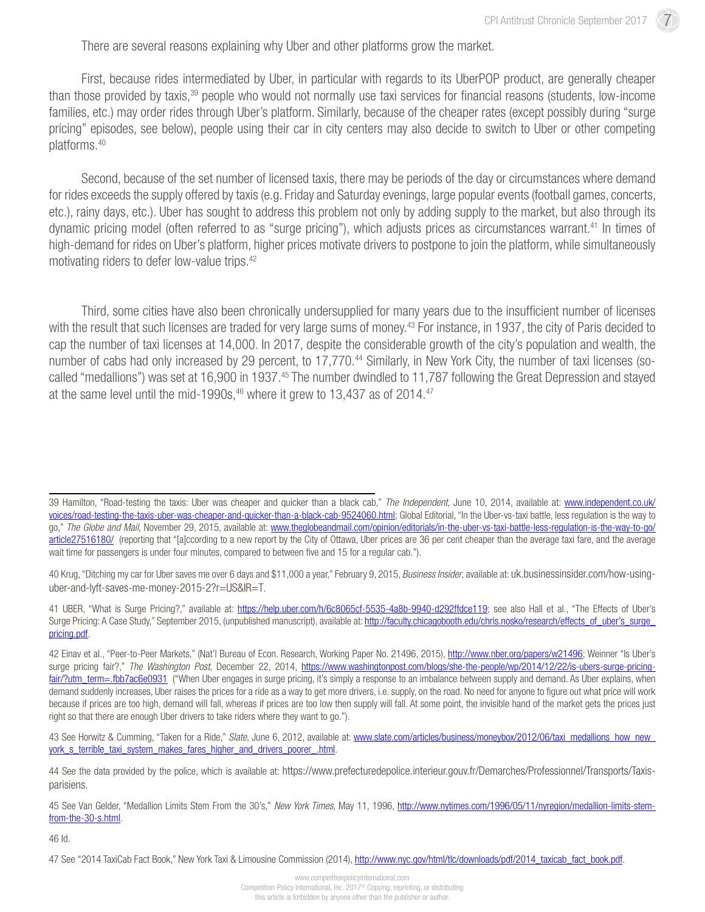7

There are several reasons explaining why Uber and other platforms grow the market.

First, because rides intermediated by Uber, in particular with regards to its UberPOP product, are generally cheaper than those provided by taxis,<sup>39</sup> people who would not normally use taxi services for financial reasons (students, low-income families, etc.) may order rides through Uber's platform. Similarly, because of the cheaper rates (except possibly during "surge pricing" episodes, see below), people using their car in city centers may also decide to switch to Uber or other competing platforms.40

Second, because of the set number of licensed taxis, there may be periods of the day or circumstances where demand for rides exceeds the supply offered by taxis (e.g. Friday and Saturday evenings, large popular events (football games, concerts, etc.), rainy days, etc.). Uber has sought to address this problem not only by adding supply to the market, but also through its dynamic pricing model (often referred to as "surge pricing"), which adjusts prices as circumstances warrant.<sup>41</sup> In times of high-demand for rides on Uber's platform, higher prices motivate drivers to postpone to join the platform, while simultaneously motivating riders to defer low-value trips.42

Third, some cities have also been chronically undersupplied for many years due to the insufficient number of licenses with the result that such licenses are traded for very large sums of money.<sup>43</sup> For instance, in 1937, the city of Paris decided to cap the number of taxi licenses at 14,000. In 2017, despite the considerable growth of the city's population and wealth, the number of cabs had only increased by 29 percent, to 17,770.<sup>44</sup> Similarly, in New York City, the number of taxi licenses (socalled "medallions") was set at 16,900 in 1937.<sup>45</sup> The number dwindled to 11,787 following the Great Depression and stayed at the same level until the mid-1990s, $46$  where it grew to 13,437 as of 2014. $47$ 

41 UBER, "What is Surge Pricing?," available at: <https://help.uber.com/h/6c8065cf-5535-4a8b-9940-d292ffdce119>; see also Hall et al., "The Effects of Uber's Surge Pricing: A Case Study," September 2015, (unpublished manuscript), available at: http://faculty.chicagobooth.edu/chris.nosko/research/effects\_of\_uber's\_surge [pricing.pdf](http://faculty.chicagobooth.edu/chris.nosko/research/effects_of_uber%27s_surge_pricing.pdf).

43 See Horwitz & Cumming, "Taken for a Ride," Slate, June 6, 2012, available at: www.slate.com/articles/business/moneybox/2012/06/taxi\_medallions\_how\_new york s\_terrible\_taxi\_system\_makes\_fares\_higher\_and\_drivers\_poorer\_.html.

46 Id.

<sup>39</sup> Hamilton, "Road-testing the taxis: Uber was cheaper and quicker than a black cab," *The Independent*, June 10, 2014, available at: [www.independent.co.uk/](http://www.independent.co.uk/voices/road-testing-the-taxis-uber-was-cheaper-and-quicker-than-a-black-cab-9524060.html) [voices/road-testing-the-taxis-uber-was-cheaper-and-quicker-than-a-black-cab-9524060.html](http://www.independent.co.uk/voices/road-testing-the-taxis-uber-was-cheaper-and-quicker-than-a-black-cab-9524060.html); Global Editorial, "In the Uber-vs-taxi battle, less regulation is the way to go," *The Globe and Mail*, November 29, 2015, available at: [www.theglobeandmail.com/opinion/editorials/in-the-uber-vs-taxi-battle-less-regulation-is-the-way-to-go/](http://www.theglobeandmail.com/opinion/editorials/in-the-uber-vs-taxi-battle-less-regulation-is-the-way-to-go/article27516180/) [article27516180/](http://www.theglobeandmail.com/opinion/editorials/in-the-uber-vs-taxi-battle-less-regulation-is-the-way-to-go/article27516180/) (reporting that "[a]ccording to a new report by the City of Ottawa, Uber prices are 36 per cent cheaper than the average taxi fare, and the average wait time for passengers is under four minutes, compared to between five and 15 for a regular cab.").

<sup>40</sup> Krug, "Ditching my car for Uber saves me over 6 days and \$11,000 a year," February 9, 2015, *Business Insider*, available at: [uk.businessinsider.com/how-using](http://uk.businessinsider.com/how-using-uber-and-lyft-saves-me-money-2015-2?r=US&IR=T)[uber-and-lyft-saves-me-money-2015-2?r=US&IR=T](http://uk.businessinsider.com/how-using-uber-and-lyft-saves-me-money-2015-2?r=US&IR=T).

<sup>42</sup> Einav et al., "Peer-to-Peer Markets," (Nat'l Bureau of Econ. Research, Working Paper No. 21496, 2015), <http://www.nber.org/papers/w21496>; Weinner "Is Uber's surge pricing fair?," *The Washington Post*, December 22, 2014, [https://www.washingtonpost.com/blogs/she-the-people/wp/2014/12/22/is-ubers-surge-pricing](https://www.washingtonpost.com/blogs/she-the-people/wp/2014/12/22/is-ubers-surge-pricing-fair/?utm_term=.fbb7ac6e0931)[fair/?utm\\_term=.fbb7ac6e0931](https://www.washingtonpost.com/blogs/she-the-people/wp/2014/12/22/is-ubers-surge-pricing-fair/?utm_term=.fbb7ac6e0931) ("When Uber engages in surge pricing, it's simply a response to an imbalance between supply and demand. As Uber explains, when demand suddenly increases, Uber raises the prices for a ride as a way to get more drivers, i.e. supply, on the road. No need for anyone to figure out what price will work because if prices are too high, demand will fall, whereas if prices are too low then supply will fall. At some point, the invisible hand of the market gets the prices just right so that there are enough Uber drivers to take riders where they want to go.").

<sup>44</sup> See the data provided by the police, which is available at: [https://www.prefecturedepolice.interieur.gouv.fr/Demarches/Professionnel/Transports/Taxis](https://www.prefecturedepolice.interieur.gouv.fr/Demarches/Professionnel/Transports/Taxis-parisiens)[parisiens](https://www.prefecturedepolice.interieur.gouv.fr/Demarches/Professionnel/Transports/Taxis-parisiens).

<sup>45</sup> See Van Gelder, "Medallion Limits Stem From the 30's," *New York Times*, May 11, 1996, [http://www.nytimes.com/1996/05/11/nyregion/medallion-limits-stem](http://www.nytimes.com/1996/05/11/nyregion/medallion-limits-stem-from-the-30-s.html)[from-the-30-s.html](http://www.nytimes.com/1996/05/11/nyregion/medallion-limits-stem-from-the-30-s.html).

<sup>47</sup> See "2014 TaxiCab Fact Book," New York Taxi & Limousine Commission (2014), [http://www.nyc.gov/html/tlc/downloads/pdf/2014\\_taxicab\\_fact\\_book.pdf.](http://www.nyc.gov/html/tlc/downloads/pdf/2014_taxicab_fact_book.pdf)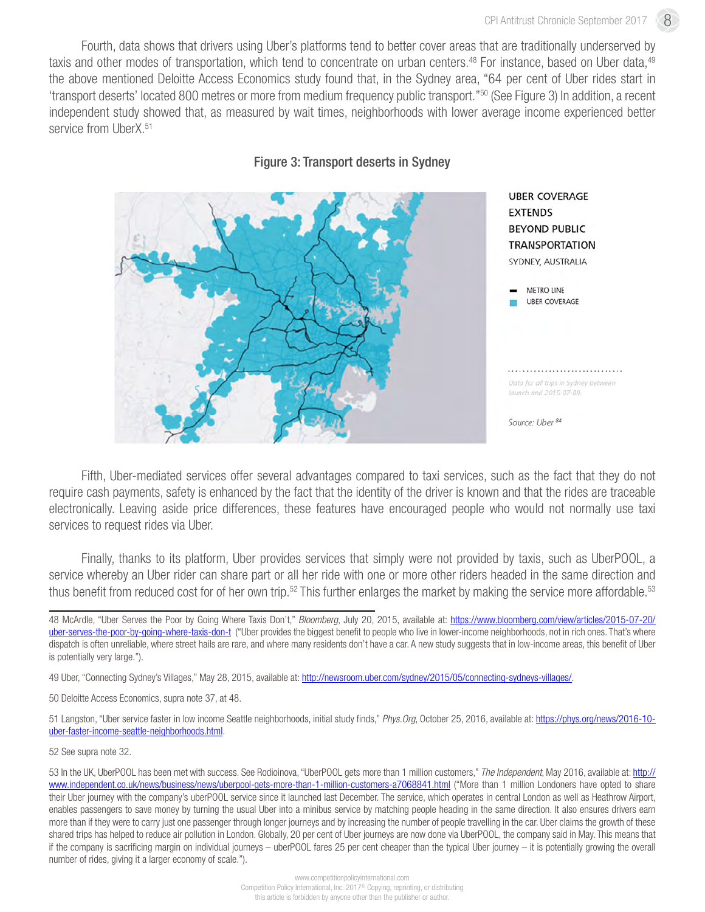Fourth, data shows that drivers using Uber's platforms tend to better cover areas that are traditionally underserved by taxis and other modes of transportation, which tend to concentrate on urban centers.<sup>48</sup> For instance, based on Uber data,<sup>49</sup> the above mentioned Deloitte Access Economics study found that, in the Sydney area, "64 per cent of Uber rides start in 'transport deserts' located 800 metres or more from medium frequency public transport."50 (See Figure 3) In addition, a recent independent study showed that, as measured by wait times, neighborhoods with lower average income experienced better service from UberX.<sup>51</sup>



Figure 3: Transport deserts in Sydney

Fifth, Uber-mediated services offer several advantages compared to taxi services, such as the fact that they do not require cash payments, safety is enhanced by the fact that the identity of the driver is known and that the rides are traceable electronically. Leaving aside price differences, these features have encouraged people who would not normally use taxi services to request rides via Uber.

Finally, thanks to its platform, Uber provides services that simply were not provided by taxis, such as UberPOOL, a service whereby an Uber rider can share part or all her ride with one or more other riders headed in the same direction and thus benefit from reduced cost for of her own trip.<sup>52</sup> This further enlarges the market by making the service more affordable.<sup>53</sup>

49 Uber, "Connecting Sydney's Villages," May 28, 2015, available at: [http://newsroom.uber.com/sydney/2015/05/connecting-sydneys-villages/.](http://newsroom.uber.com/sydney/2015/05/connecting-sydneys-villages/)

50 Deloitte Access Economics, supra note 37, at 48.

51 Langston, "Uber service faster in low income Seattle neighborhoods, initial study finds," *Phys.Org*, October 25, 2016, available at: [https://phys.org/news/2016-10](https://phys.org/news/2016-10-uber-faster-income-seattle-neighborhoods.html) [uber-faster-income-seattle-neighborhoods.html](https://phys.org/news/2016-10-uber-faster-income-seattle-neighborhoods.html).

52 See supra note 32.

<sup>48</sup> McArdle, "Uber Serves the Poor by Going Where Taxis Don't," *Bloomberg*, July 20, 2015, available at: [https://www.bloomberg.com/view/articles/2015-07-20/](https://www.bloomberg.com/view/articles/2015-07-20/uber-serves-the-poor-by-going-where-taxis-don-t) [uber-serves-the-poor-by-going-where-taxis-don-t](https://www.bloomberg.com/view/articles/2015-07-20/uber-serves-the-poor-by-going-where-taxis-don-t) ("Uber provides the biggest benefit to people who live in lower-income neighborhoods, not in rich ones. That's where dispatch is often unreliable, where street hails are rare, and where many residents don't have a car. A new study suggests that in low-income areas, this benefit of Uber is potentially very large.").

<sup>53</sup> In the UK, UberPOOL has been met with success. See Rodioinova, "UberPOOL gets more than 1 million customers," *The Independent*, May 2016, available at: [http://](http://www.independent.co.uk/news/business/news/uberpool-gets-more-than-1-million-customers-a7068841.html) [www.independent.co.uk/news/business/news/uberpool-gets-more-than-1-million-customers-a7068841.html](http://www.independent.co.uk/news/business/news/uberpool-gets-more-than-1-million-customers-a7068841.html) ("More than 1 million Londoners have opted to share their Uber journey with the company's uberPOOL service since it launched last December. The service, which operates in central London as well as Heathrow Airport, enables passengers to save money by turning the usual Uber into a minibus service by matching people heading in the same direction. It also ensures drivers earn more than if they were to carry just one passenger through longer journeys and by increasing the number of people travelling in the car. Uber claims the growth of these shared trips has helped to reduce air pollution in London. Globally, 20 per cent of Uber journeys are now done via UberPOOL, the company said in May. This means that if the company is sacrificing margin on individual journeys – uberPOOL fares 25 per cent cheaper than the typical Uber journey – it is potentially growing the overall number of rides, giving it a larger economy of scale.").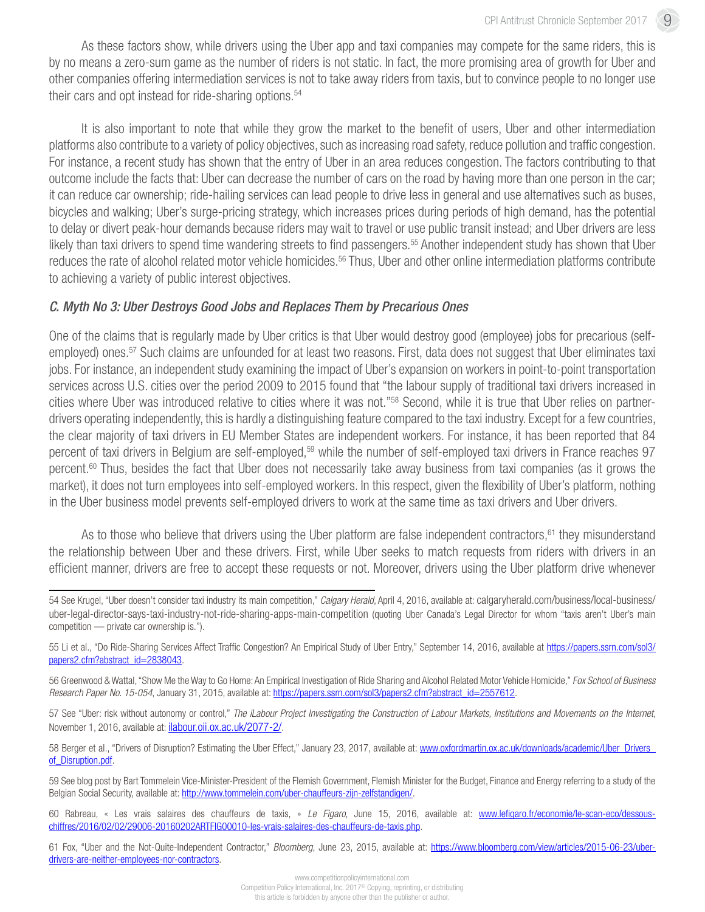As these factors show, while drivers using the Uber app and taxi companies may compete for the same riders, this is by no means a zero-sum game as the number of riders is not static. In fact, the more promising area of growth for Uber and other companies offering intermediation services is not to take away riders from taxis, but to convince people to no longer use their cars and opt instead for ride-sharing options.<sup>54</sup>

It is also important to note that while they grow the market to the benefit of users, Uber and other intermediation platforms also contribute to a variety of policy objectives, such as increasing road safety, reduce pollution and traffic congestion. For instance, a recent study has shown that the entry of Uber in an area reduces congestion. The factors contributing to that outcome include the facts that: Uber can decrease the number of cars on the road by having more than one person in the car; it can reduce car ownership; ride-hailing services can lead people to drive less in general and use alternatives such as buses, bicycles and walking; Uber's surge-pricing strategy, which increases prices during periods of high demand, has the potential to delay or divert peak-hour demands because riders may wait to travel or use public transit instead; and Uber drivers are less likely than taxi drivers to spend time wandering streets to find passengers.<sup>55</sup> Another independent study has shown that Uber reduces the rate of alcohol related motor vehicle homicides.<sup>56</sup> Thus, Uber and other online intermediation platforms contribute to achieving a variety of public interest objectives.

### *C. Myth No 3: Uber Destroys Good Jobs and Replaces Them by Precarious Ones*

One of the claims that is regularly made by Uber critics is that Uber would destroy good (employee) jobs for precarious (selfemployed) ones.<sup>57</sup> Such claims are unfounded for at least two reasons. First, data does not suggest that Uber eliminates taxi jobs. For instance, an independent study examining the impact of Uber's expansion on workers in point-to-point transportation services across U.S. cities over the period 2009 to 2015 found that "the labour supply of traditional taxi drivers increased in cities where Uber was introduced relative to cities where it was not."58 Second, while it is true that Uber relies on partnerdrivers operating independently, this is hardly a distinguishing feature compared to the taxi industry. Except for a few countries, the clear majority of taxi drivers in EU Member States are independent workers. For instance, it has been reported that 84 percent of taxi drivers in Belgium are self-employed.<sup>59</sup> while the number of self-employed taxi drivers in France reaches 97 percent.<sup>60</sup> Thus, besides the fact that Uber does not necessarily take away business from taxi companies (as it grows the market), it does not turn employees into self-employed workers. In this respect, given the flexibility of Uber's platform, nothing in the Uber business model prevents self-employed drivers to work at the same time as taxi drivers and Uber drivers.

As to those who believe that drivers using the Uber platform are false independent contractors,<sup>61</sup> they misunderstand the relationship between Uber and these drivers. First, while Uber seeks to match requests from riders with drivers in an efficient manner, drivers are free to accept these requests or not. Moreover, drivers using the Uber platform drive whenever

57 See "Uber: risk without autonomy or control," *The iLabour Project Investigating the Construction of Labour Markets, Institutions and Movements on the Internet*, November 1, 2016, available at: [ilabour.oii.ox.ac.uk/2077-2/.](http://ilabour.oii.ox.ac.uk/2077-2/)

58 Berger et al., "Drivers of Disruption? Estimating the Uber Effect," January 23, 2017, available at: [www.oxfordmartin.ox.ac.uk/downloads/academic/Uber\\_Drivers\\_](http://www.oxfordmartin.ox.ac.uk/downloads/academic/Uber_Drivers_of_Disruption.pdf) of Disruption.pdf.

59 See blog post by Bart Tommelein Vice-Minister-President of the Flemish Government, Flemish Minister for the Budget, Finance and Energy referring to a study of the Belgian Social Security, available at:<http://www.tommelein.com/uber-chauffeurs-zijn-zelfstandigen/>.

60 Rabreau, « Les vrais salaires des chauffeurs de taxis, » *Le Figaro*, June 15, 2016, available at: [www.lefigaro.fr/economie/le-scan-eco/dessous](http://www.lefigaro.fr/economie/le-scan-eco/dessous-chiffres/2016/02/02/29006-20160202ARTFIG00010-les-vrais-salaires-des-chauffeurs-de-taxis.php)[chiffres/2016/02/02/29006-20160202ARTFIG00010-les-vrais-salaires-des-chauffeurs-de-taxis.php](http://www.lefigaro.fr/economie/le-scan-eco/dessous-chiffres/2016/02/02/29006-20160202ARTFIG00010-les-vrais-salaires-des-chauffeurs-de-taxis.php).

61 Fox, "Uber and the Not-Quite-Independent Contractor," *Bloomberg*, June 23, 2015, available at: [https://www.bloomberg.com/view/articles/2015-06-23/uber](https://www.bloomberg.com/view/articles/2015-06-23/uber-drivers-are-neither-employees-nor-contractors)[drivers-are-neither-employees-nor-contractors](https://www.bloomberg.com/view/articles/2015-06-23/uber-drivers-are-neither-employees-nor-contractors).

<sup>54</sup> See Krugel, "Uber doesn't consider taxi industry its main competition," *Calgary Herald*, April 4, 2016, available at: [calgaryherald.com/business/local-business/](http://calgaryherald.com/business/local-business/uber-legal-director-says-taxi-industry-not-ride-sharing-apps-main-competition) [uber-legal-director-says-taxi-industry-not-ride-sharing-apps-main-competition](http://calgaryherald.com/business/local-business/uber-legal-director-says-taxi-industry-not-ride-sharing-apps-main-competition) (quoting Uber Canada's Legal Director for whom "taxis aren't Uber's main competition — private car ownership is.").

<sup>55</sup> Li et al., "Do Ride-Sharing Services Affect Traffic Congestion? An Empirical Study of Uber Entry," September 14, 2016, available at [https://papers.ssrn.com/sol3/](https://papers.ssrn.com/sol3/papers2.cfm?abstract_id=2838043) [papers2.cfm?abstract\\_id=2838043.](https://papers.ssrn.com/sol3/papers2.cfm?abstract_id=2838043)

<sup>56</sup> Greenwood & Wattal, "Show Me the Way to Go Home: An Empirical Investigation of Ride Sharing and Alcohol Related Motor Vehicle Homicide," *Fox School of Business Research Paper No. 15-054*, January 31, 2015, available at: [https://papers.ssrn.com/sol3/papers2.cfm?abstract\\_id=2557612](https://papers.ssrn.com/sol3/papers2.cfm?abstract_id=2557612).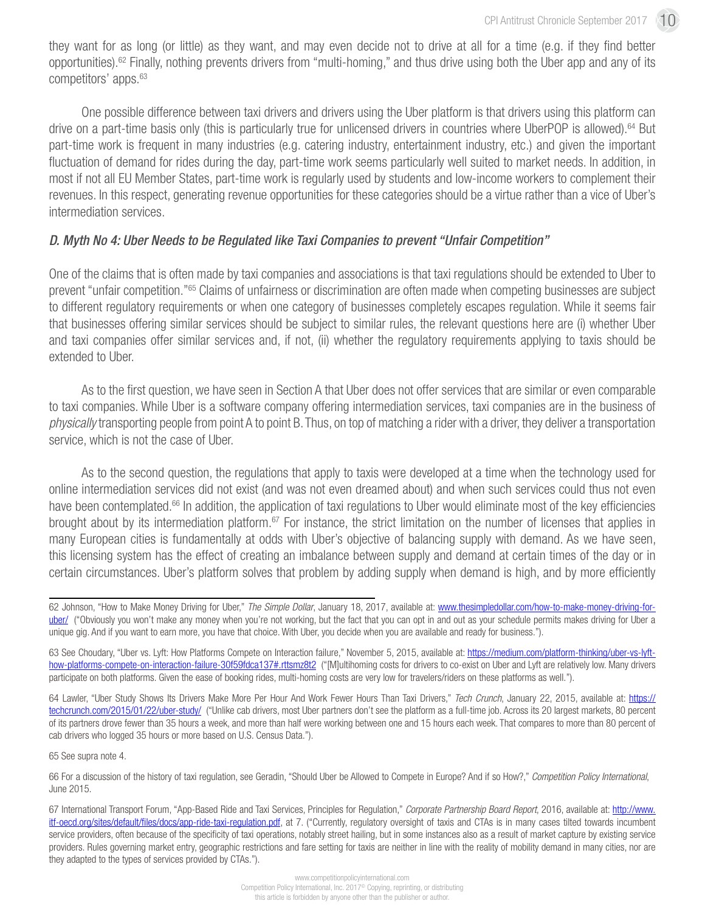they want for as long (or little) as they want, and may even decide not to drive at all for a time (e.g. if they find better opportunities).62 Finally, nothing prevents drivers from "multi-homing," and thus drive using both the Uber app and any of its competitors' apps.63

One possible difference between taxi drivers and drivers using the Uber platform is that drivers using this platform can drive on a part-time basis only (this is particularly true for unlicensed drivers in countries where UberPOP is allowed).64 But part-time work is frequent in many industries (e.g. catering industry, entertainment industry, etc.) and given the important fluctuation of demand for rides during the day, part-time work seems particularly well suited to market needs. In addition, in most if not all EU Member States, part-time work is regularly used by students and low-income workers to complement their revenues. In this respect, generating revenue opportunities for these categories should be a virtue rather than a vice of Uber's intermediation services.

### *D. Myth No 4: Uber Needs to be Regulated like Taxi Companies to prevent "Unfair Competition"*

One of the claims that is often made by taxi companies and associations is that taxi regulations should be extended to Uber to prevent "unfair competition."65 Claims of unfairness or discrimination are often made when competing businesses are subject to different regulatory requirements or when one category of businesses completely escapes regulation. While it seems fair that businesses offering similar services should be subject to similar rules, the relevant questions here are (i) whether Uber and taxi companies offer similar services and, if not, (ii) whether the regulatory requirements applying to taxis should be extended to Uber.

As to the first question, we have seen in Section A that Uber does not offer services that are similar or even comparable to taxi companies. While Uber is a software company offering intermediation services, taxi companies are in the business of *physically* transporting people from point A to point B. Thus, on top of matching a rider with a driver, they deliver a transportation service, which is not the case of Uber.

As to the second question, the regulations that apply to taxis were developed at a time when the technology used for online intermediation services did not exist (and was not even dreamed about) and when such services could thus not even have been contemplated.<sup>66</sup> In addition, the application of taxi regulations to Uber would eliminate most of the key efficiencies brought about by its intermediation platform.<sup>67</sup> For instance, the strict limitation on the number of licenses that applies in many European cities is fundamentally at odds with Uber's objective of balancing supply with demand. As we have seen, this licensing system has the effect of creating an imbalance between supply and demand at certain times of the day or in certain circumstances. Uber's platform solves that problem by adding supply when demand is high, and by more efficiently

65 See supra note 4.

66 For a discussion of the history of taxi regulation, see Geradin, "Should Uber be Allowed to Compete in Europe? And if so How?," *Competition Policy International*, June 2015.

<sup>62</sup> Johnson, "How to Make Money Driving for Uber," *The Simple Dollar*, January 18, 2017, available at: [www.thesimpledollar.com/how-to-make-money-driving-for](http://www.thesimpledollar.com/how-to-make-money-driving-for-uber/)[uber/](http://www.thesimpledollar.com/how-to-make-money-driving-for-uber/) ("Obviously you won't make any money when you're not working, but the fact that you can opt in and out as your schedule permits makes driving for Uber a unique gig. And if you want to earn more, you have that choice. With Uber, you decide when you are available and ready for business.").

<sup>63</sup> See Choudary, "Uber vs. Lyft: How Platforms Compete on Interaction failure," November 5, 2015, available at: [https://medium.com/platform-thinking/uber-vs-lyft](https://medium.com/platform-thinking/uber-vs-lyft-how-platforms-compete-on-interaction-failure-30f59fdca137#.rttsmz8t2)[how-platforms-compete-on-interaction-failure-30f59fdca137#.rttsmz8t2](https://medium.com/platform-thinking/uber-vs-lyft-how-platforms-compete-on-interaction-failure-30f59fdca137#.rttsmz8t2) ("[M]ultihoming costs for drivers to co-exist on Uber and Lyft are relatively low. Many drivers participate on both platforms. Given the ease of booking rides, multi-homing costs are very low for travelers/riders on these platforms as well.").

<sup>64</sup> Lawler, "Uber Study Shows Its Drivers Make More Per Hour And Work Fewer Hours Than Taxi Drivers," Tech Crunch, January 22, 2015, available at: [https://](https://techcrunch.com/2015/01/22/uber-study/) [techcrunch.com/2015/01/22/uber-study/](https://techcrunch.com/2015/01/22/uber-study/) ("Unlike cab drivers, most Uber partners don't see the platform as a full-time job. Across its 20 largest markets, 80 percent of its partners drove fewer than 35 hours a week, and more than half were working between one and 15 hours each week. That compares to more than 80 percent of cab drivers who logged 35 hours or more based on U.S. Census Data.").

<sup>67</sup> International Transport Forum, "App-Based Ride and Taxi Services, Principles for Regulation," *Corporate Partnership Board Report*, 2016, available at: [http://www.](http://www.itf-oecd.org/sites/default/files/docs/app-ride-taxi-regulation.pdf) [itf-oecd.org/sites/default/files/docs/app-ride-taxi-regulation.pdf,](http://www.itf-oecd.org/sites/default/files/docs/app-ride-taxi-regulation.pdf) at 7. ("Currently, regulatory oversight of taxis and CTAs is in many cases tilted towards incumbent service providers, often because of the specificity of taxi operations, notably street hailing, but in some instances also as a result of market capture by existing service providers. Rules governing market entry, geographic restrictions and fare setting for taxis are neither in line with the reality of mobility demand in many cities, nor are they adapted to the types of services provided by CTAs.").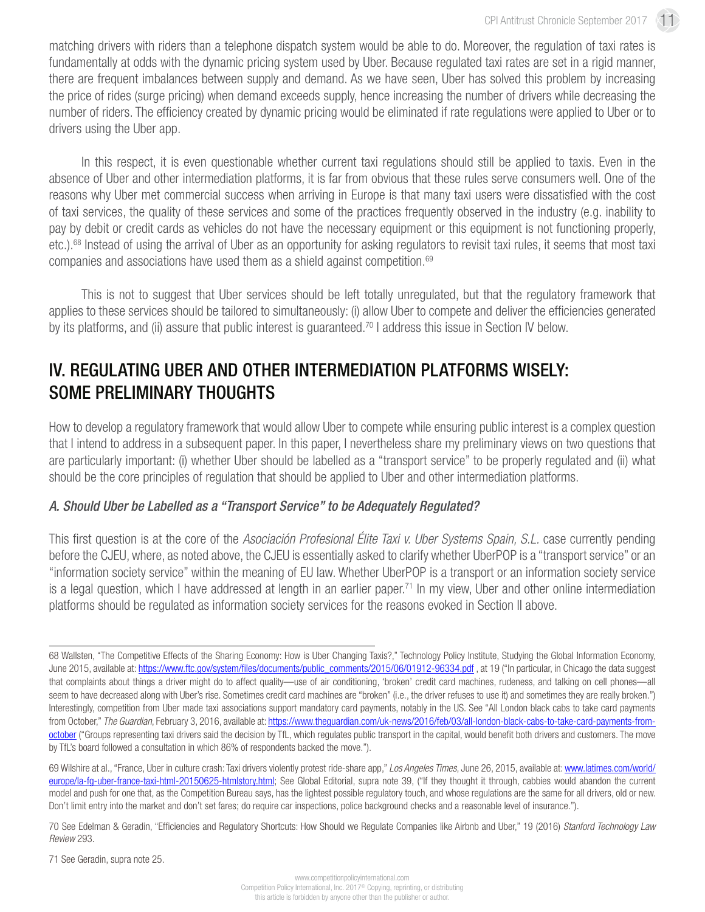matching drivers with riders than a telephone dispatch system would be able to do. Moreover, the regulation of taxi rates is fundamentally at odds with the dynamic pricing system used by Uber. Because regulated taxi rates are set in a rigid manner, there are frequent imbalances between supply and demand. As we have seen, Uber has solved this problem by increasing the price of rides (surge pricing) when demand exceeds supply, hence increasing the number of drivers while decreasing the number of riders. The efficiency created by dynamic pricing would be eliminated if rate regulations were applied to Uber or to drivers using the Uber app.

In this respect, it is even questionable whether current taxi regulations should still be applied to taxis. Even in the absence of Uber and other intermediation platforms, it is far from obvious that these rules serve consumers well. One of the reasons why Uber met commercial success when arriving in Europe is that many taxi users were dissatisfied with the cost of taxi services, the quality of these services and some of the practices frequently observed in the industry (e.g. inability to pay by debit or credit cards as vehicles do not have the necessary equipment or this equipment is not functioning properly, etc.).<sup>68</sup> Instead of using the arrival of Uber as an opportunity for asking regulators to revisit taxi rules, it seems that most taxi companies and associations have used them as a shield against competition.<sup>69</sup>

This is not to suggest that Uber services should be left totally unregulated, but that the regulatory framework that applies to these services should be tailored to simultaneously: (i) allow Uber to compete and deliver the efficiencies generated by its platforms, and (ii) assure that public interest is guaranteed.<sup>70</sup> I address this issue in Section IV below.

## IV. REGULATING UBER AND OTHER INTERMEDIATION PLATFORMS WISELY: SOME PRELIMINARY THOUGHTS

How to develop a regulatory framework that would allow Uber to compete while ensuring public interest is a complex question that I intend to address in a subsequent paper. In this paper, I nevertheless share my preliminary views on two questions that are particularly important: (i) whether Uber should be labelled as a "transport service" to be properly regulated and (ii) what should be the core principles of regulation that should be applied to Uber and other intermediation platforms.

### *A. Should Uber be Labelled as a "Transport Service" to be Adequately Regulated?*

This first question is at the core of the *Asociación Profesional Élite Taxi v. Uber Systems Spain, S.L.* case currently pending before the CJEU, where, as noted above, the CJEU is essentially asked to clarify whether UberPOP is a "transport service" or an "information society service" within the meaning of EU law. Whether UberPOP is a transport or an information society service is a legal question, which I have addressed at length in an earlier paper.<sup>71</sup> In my view, Uber and other online intermediation platforms should be regulated as information society services for the reasons evoked in Section II above.

<sup>68</sup> Wallsten, "The Competitive Effects of the Sharing Economy: How is Uber Changing Taxis?," Technology Policy Institute, Studying the Global Information Economy, June 2015, available at: https://www.ftc.gov/system/files/documents/public\_comments/2015/06/01912-96334.pdf, at 19 ("In particular, in Chicago the data suggest that complaints about things a driver might do to affect quality—use of air conditioning, 'broken' credit card machines, rudeness, and talking on cell phones—all seem to have decreased along with Uber's rise. Sometimes credit card machines are "broken" (i.e., the driver refuses to use it) and sometimes they are really broken.") Interestingly, competition from Uber made taxi associations support mandatory card payments, notably in the US. See "All London black cabs to take card payments from October," *The Guardian*, February 3, 2016, available at: [https://www.theguardian.com/uk-news/2016/feb/03/all-london-black-cabs-to-take-card-payments-from](https://www.theguardian.com/uk-news/2016/feb/03/all-london-black-cabs-to-take-card-payments-from-october)[october](https://www.theguardian.com/uk-news/2016/feb/03/all-london-black-cabs-to-take-card-payments-from-october) ("Groups representing taxi drivers said the decision by TfL, which regulates public transport in the capital, would benefit both drivers and customers. The move by TfL's board followed a consultation in which 86% of respondents backed the move.").

<sup>69</sup> Wilshire at al., "France, Uber in culture crash: Taxi drivers violently protest ride-share app," *Los Angeles Times*, June 26, 2015, available at: [www.latimes.com/world/](http://www.latimes.com/world/europe/la-fg-uber-france-taxi-html-20150625-htmlstory.html) [europe/la-fg-uber-france-taxi-html-20150625-htmlstory.html](http://www.latimes.com/world/europe/la-fg-uber-france-taxi-html-20150625-htmlstory.html); See Global Editorial, supra note 39, ("If they thought it through, cabbies would abandon the current model and push for one that, as the Competition Bureau says, has the lightest possible regulatory touch, and whose regulations are the same for all drivers, old or new. Don't limit entry into the market and don't set fares; do require car inspections, police background checks and a reasonable level of insurance.").

<sup>70</sup> See Edelman & Geradin, "Efficiencies and Regulatory Shortcuts: How Should we Regulate Companies like Airbnb and Uber," 19 (2016) *Stanford Technology Law Review* 293.

<sup>71</sup> See Geradin, supra note 25.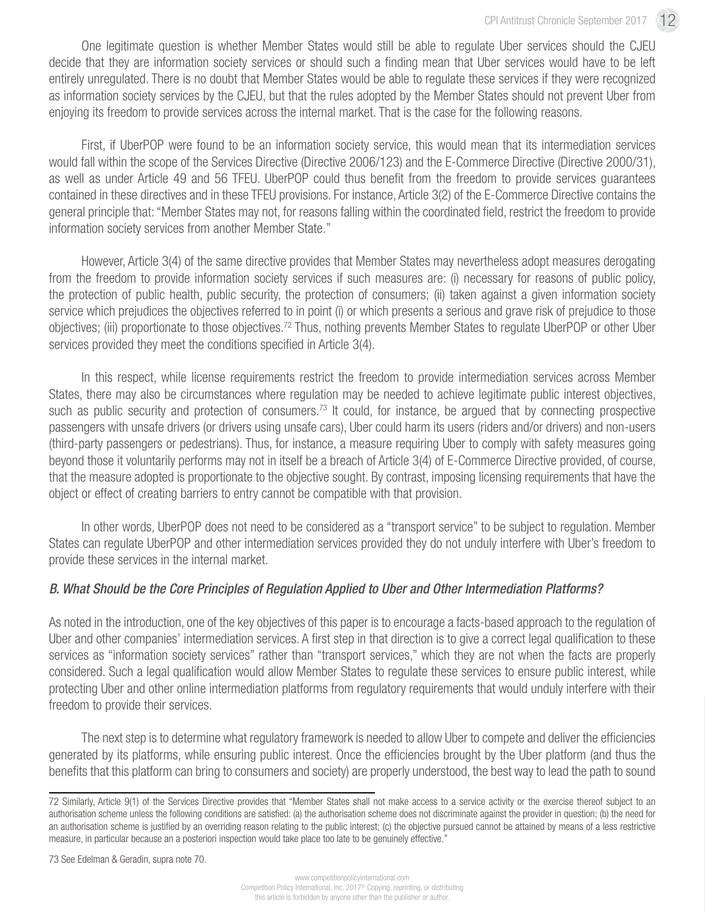One legitimate question is whether Member States would still be able to regulate Uber services should the CJEU decide that they are information society services or should such a finding mean that Uber services would have to be left entirely unregulated. There is no doubt that Member States would be able to regulate these services if they were recognized as information society services by the CJEU, but that the rules adopted by the Member States should not prevent Uber from enjoying its freedom to provide services across the internal market. That is the case for the following reasons.

First, if UberPOP were found to be an information society service, this would mean that its intermediation services would fall within the scope of the Services Directive (Directive 2006/123) and the E-Commerce Directive (Directive 2000/31), as well as under Article 49 and 56 TFEU. UberPOP could thus benefit from the freedom to provide services guarantees contained in these directives and in these TFEU provisions. For instance, Article 3(2) of the E-Commerce Directive contains the general principle that: "Member States may not, for reasons falling within the coordinated field, restrict the freedom to provide information society services from another Member State."

However, Article 3(4) of the same directive provides that Member States may nevertheless adopt measures derogating from the freedom to provide information society services if such measures are: (i) necessary for reasons of public policy, the protection of public health, public security, the protection of consumers; (ii) taken against a given information society service which prejudices the objectives referred to in point (i) or which presents a serious and grave risk of prejudice to those objectives; (iii) proportionate to those objectives.72 Thus, nothing prevents Member States to regulate UberPOP or other Uber services provided they meet the conditions specified in Article 3(4).

In this respect, while license requirements restrict the freedom to provide intermediation services across Member States, there may also be circumstances where regulation may be needed to achieve legitimate public interest objectives, such as public security and protection of consumers.<sup>73</sup> It could, for instance, be argued that by connecting prospective passengers with unsafe drivers (or drivers using unsafe cars), Uber could harm its users (riders and/or drivers) and non-users (third-party passengers or pedestrians). Thus, for instance, a measure requiring Uber to comply with safety measures going beyond those it voluntarily performs may not in itself be a breach of Article 3(4) of E-Commerce Directive provided, of course, that the measure adopted is proportionate to the objective sought. By contrast, imposing licensing requirements that have the object or effect of creating barriers to entry cannot be compatible with that provision.

In other words, UberPOP does not need to be considered as a "transport service" to be subject to regulation. Member States can regulate UberPOP and other intermediation services provided they do not unduly interfere with Uber's freedom to provide these services in the internal market.

### *B. What Should be the Core Principles of Regulation Applied to Uber and Other Intermediation Platforms?*

As noted in the introduction, one of the key objectives of this paper is to encourage a facts-based approach to the regulation of Uber and other companies' intermediation services. A first step in that direction is to give a correct legal qualification to these services as "information society services" rather than "transport services," which they are not when the facts are properly considered. Such a legal qualification would allow Member States to regulate these services to ensure public interest, while protecting Uber and other online intermediation platforms from regulatory requirements that would unduly interfere with their freedom to provide their services.

The next step is to determine what regulatory framework is needed to allow Uber to compete and deliver the efficiencies generated by its platforms, while ensuring public interest. Once the efficiencies brought by the Uber platform (and thus the benefits that this platform can bring to consumers and society) are properly understood, the best way to lead the path to sound

73 See Edelman & Geradin, supra note 70.

<sup>72</sup> Similarly, Article 9(1) of the Services Directive provides that "Member States shall not make access to a service activity or the exercise thereof subject to an authorisation scheme unless the following conditions are satisfied: (a) the authorisation scheme does not discriminate against the provider in question; (b) the need for an authorisation scheme is justified by an overriding reason relating to the public interest; (c) the objective pursued cannot be attained by means of a less restrictive measure, in particular because an a posteriori inspection would take place too late to be genuinely effective."